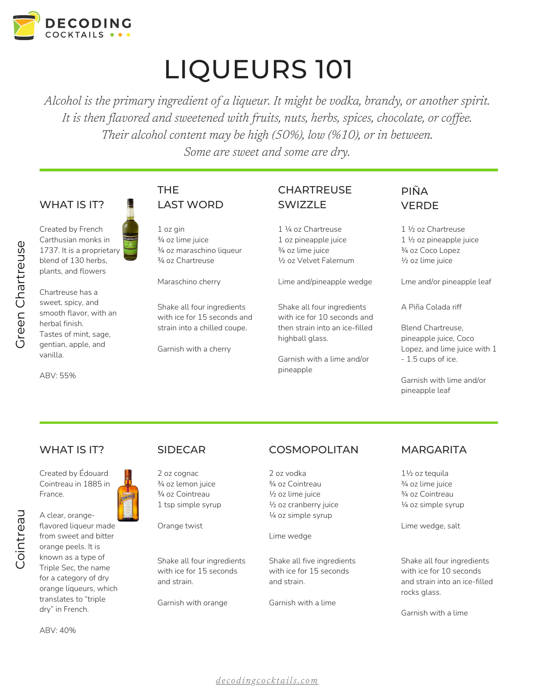

# LIQUEURS 101

*Alcohol is the primary ingredient of a liqueur. It might be vodka, brandy, or another spirit. It is then flavored and sweetened with fruits, nuts, herbs, spices, chocolate, or cof ee. Their alcohol content may be high (50%), low (%10), or in between. Some are sweet and some are dry.*

### WHAT IS IT?

Created by French Carthusian monks in 1737. It is a proprietary blend of 130 herbs, plants, and flowers artre

Chartreuse has a sweet, spicy, and smooth flavor, with an herbal finish. Tastes of mint, sage, gentian, apple, and vanilla.

ABV: 55%

Gre e $\mathsf{\Omega}$  $\cup$ ے

os<br>D

## THE LAST WORD

1 oz gin ¾ oz lime juice ¾ oz maraschino liqueur ¾ oz Chartreuse

Maraschino cherry

Shake all four ingredients with ice for 15 seconds and strain into a chilled coupe.

Garnish with a cherry

## **CHARTREUSE SWIZZLE**

1 ¼ oz Chartreuse 1 oz pineapple juice ¾ oz lime juice ½ oz Velvet Falernum

Lime and/pineapple wedge

Shake all four ingredients with ice for 10 seconds and then strain into an ice-filled highball glass.

Garnish with a lime and/or pineapple

## PIÑA **VERDE**

1 ½ oz Chartreuse 1 ½ oz pineapple juice ¾ oz Coco Lopez ½ oz lime juice

Lme and/or pineapple leaf

A Piña Colada riff

Blend Chartreuse, pineapple juice, Coco Lopez, and lime juice with 1 - 1.5 cups of ice.

Garnish with lime and/or pineapple leaf

### WHAT IS IT?

Created by Édouard Cointreau in 1885 in France.



A clear, orangeflavored liqueur made from sweet and bitter orange peels. It is known as a type of Triple Sec, the name for a category of dry orange liqueurs, which translates to "triple dry" in French.

ABV: 40%

### SIDECAR

2 oz cognac ¾ oz lemon juice ¾ oz Cointreau 1 tsp simple syrup

Orange twist

Shake all four ingredients with ice for 15 seconds and strain.

Garnish with orange

### **COSMOPOLITAN**

2 oz vodka ¾ oz Cointreau ½ oz lime juice ½ oz cranberry juice ¼ oz simple syrup

Lime wedge

Shake all five ingredients with ice for 15 seconds and strain.

Garnish with a lime

### **MARGARITA**

1½ oz tequila ¾ oz lime juice ¾ oz Cointreau ¼ oz simple syrup

Lime wedge, salt

Shake all four ingredients with ice for 10 seconds and strain into an ice-filled rocks glass.

Garnish with a lime

*d e c o d i n g c o c k t a [ils.c](http://decodingcocktails.com/) om*